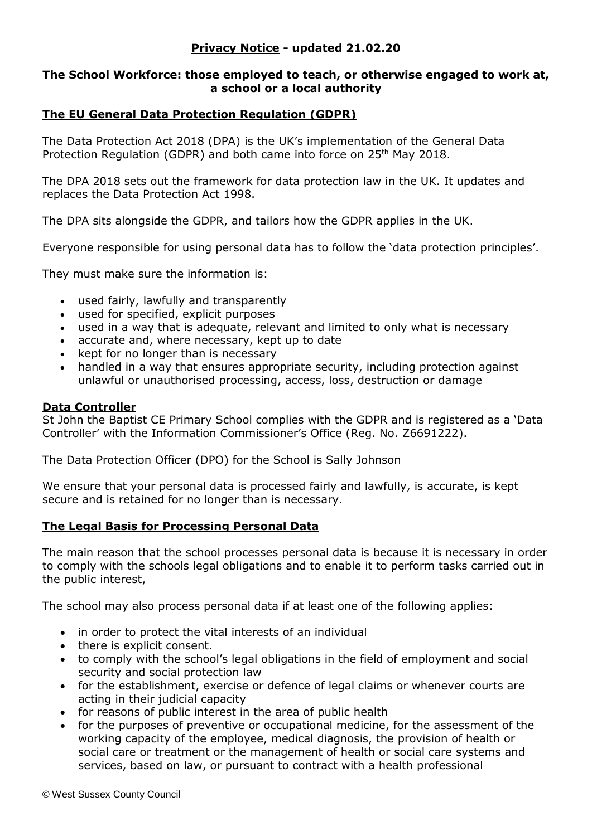# **Privacy Notice - updated 21.02.20**

#### **The School Workforce: those employed to teach, or otherwise engaged to work at, a school or a local authority**

# **The EU General Data Protection Regulation (GDPR)**

The Data Protection Act 2018 (DPA) is the UK's implementation of the General Data Protection Regulation (GDPR) and both came into force on 25<sup>th</sup> May 2018.

The DPA 2018 sets out the framework for data protection law in the UK. It updates and replaces the Data Protection Act 1998.

The DPA sits alongside the GDPR, and tailors how the GDPR applies in the UK.

Everyone responsible for using personal data has to follow the 'data protection principles'.

They must make sure the information is:

- used fairly, lawfully and transparently
- used for specified, explicit purposes
- used in a way that is adequate, relevant and limited to only what is necessary
- accurate and, where necessary, kept up to date
- kept for no longer than is necessary
- handled in a way that ensures appropriate security, including protection against unlawful or unauthorised processing, access, loss, destruction or damage

#### **Data Controller**

St John the Baptist CE Primary School complies with the GDPR and is registered as a 'Data Controller' with the Information Commissioner's Office (Reg. No. Z6691222).

The Data Protection Officer (DPO) for the School is Sally Johnson

We ensure that your personal data is processed fairly and lawfully, is accurate, is kept secure and is retained for no longer than is necessary.

### **The Legal Basis for Processing Personal Data**

The main reason that the school processes personal data is because it is necessary in order to comply with the schools legal obligations and to enable it to perform tasks carried out in the public interest,

The school may also process personal data if at least one of the following applies:

- in order to protect the vital interests of an individual
- there is explicit consent.
- to comply with the school's legal obligations in the field of employment and social security and social protection law
- for the establishment, exercise or defence of legal claims or whenever courts are acting in their judicial capacity
- for reasons of public interest in the area of public health
- for the purposes of preventive or occupational medicine, for the assessment of the working capacity of the employee, medical diagnosis, the provision of health or social care or treatment or the management of health or social care systems and services, based on law, or pursuant to contract with a health professional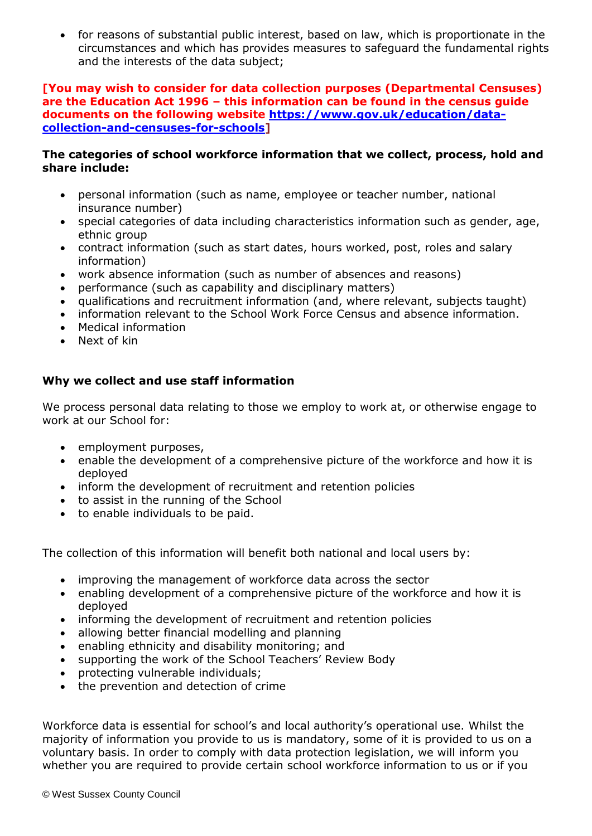for reasons of substantial public interest, based on law, which is proportionate in the circumstances and which has provides measures to safeguard the fundamental rights and the interests of the data subject;

#### **[You may wish to consider for data collection purposes (Departmental Censuses) are the Education Act 1996 – this information can be found in the census guide documents on the following website [https://www.gov.uk/education/data](https://www.gov.uk/education/data-collection-and-censuses-for-schools)[collection-and-censuses-for-schools\]](https://www.gov.uk/education/data-collection-and-censuses-for-schools)**

### **The categories of school workforce information that we collect, process, hold and share include:**

- personal information (such as name, employee or teacher number, national insurance number)
- special categories of data including characteristics information such as gender, age, ethnic group
- contract information (such as start dates, hours worked, post, roles and salary information)
- work absence information (such as number of absences and reasons)
- performance (such as capability and disciplinary matters)
- qualifications and recruitment information (and, where relevant, subjects taught)
- information relevant to the School Work Force Census and absence information.
- Medical information
- Next of kin

# **Why we collect and use staff information**

We process personal data relating to those we employ to work at, or otherwise engage to work at our School for:

- employment purposes,
- enable the development of a comprehensive picture of the workforce and how it is deployed
- inform the development of recruitment and retention policies
- to assist in the running of the School
- to enable individuals to be paid.

The collection of this information will benefit both national and local users by:

- improving the management of workforce data across the sector
- enabling development of a comprehensive picture of the workforce and how it is deployed
- informing the development of recruitment and retention policies
- allowing better financial modelling and planning
- enabling ethnicity and disability monitoring; and
- supporting the work of the School Teachers' Review Body
- protecting vulnerable individuals;
- the prevention and detection of crime

Workforce data is essential for school's and local authority's operational use. Whilst the majority of information you provide to us is mandatory, some of it is provided to us on a voluntary basis. In order to comply with data protection legislation, we will inform you whether you are required to provide certain school workforce information to us or if you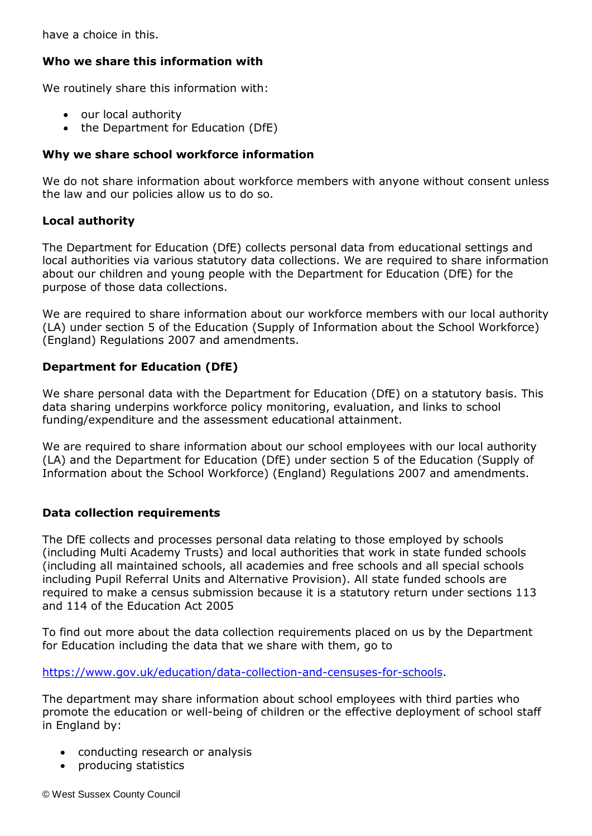have a choice in this.

# **Who we share this information with**

We routinely share this information with:

- our local authority
- the Department for Education (DfE)

### **Why we share school workforce information**

We do not share information about workforce members with anyone without consent unless the law and our policies allow us to do so.

### **Local authority**

The Department for Education (DfE) collects personal data from educational settings and local authorities via various statutory data collections. We are required to share information about our children and young people with the Department for Education (DfE) for the purpose of those data collections.

We are required to share information about our workforce members with our local authority (LA) under section 5 of the Education (Supply of Information about the School Workforce) (England) Regulations 2007 and amendments.

# **Department for Education (DfE)**

We share personal data with the Department for Education (DfE) on a statutory basis. This data sharing underpins workforce policy monitoring, evaluation, and links to school funding/expenditure and the assessment educational attainment.

We are required to share information about our school employees with our local authority (LA) and the Department for Education (DfE) under section 5 of the Education (Supply of Information about the School Workforce) (England) Regulations 2007 and amendments.

### **Data collection requirements**

The DfE collects and processes personal data relating to those employed by schools (including Multi Academy Trusts) and local authorities that work in state funded schools (including all maintained schools, all academies and free schools and all special schools including Pupil Referral Units and Alternative Provision). All state funded schools are required to make a census submission because it is a statutory return under sections 113 and 114 of the Education Act 2005

To find out more about the data collection requirements placed on us by the Department for Education including the data that we share with them, go to

[https://www.gov.uk/education/data-collection-and-censuses-for-schools.](https://www.gov.uk/education/data-collection-and-censuses-for-schools)

The department may share information about school employees with third parties who promote the education or well-being of children or the effective deployment of school staff in England by:

- conducting research or analysis
- producing statistics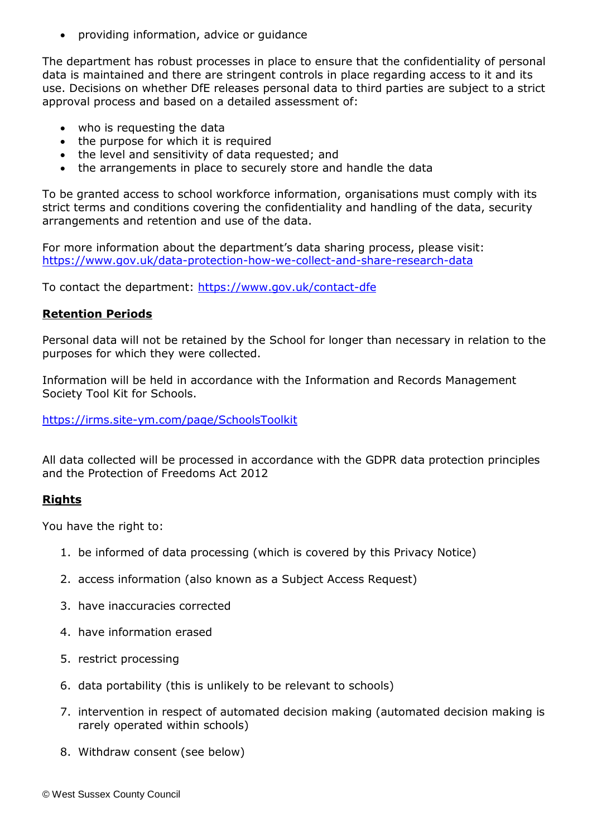providing information, advice or guidance

The department has robust processes in place to ensure that the confidentiality of personal data is maintained and there are stringent controls in place regarding access to it and its use. Decisions on whether DfE releases personal data to third parties are subject to a strict approval process and based on a detailed assessment of:

- who is requesting the data
- the purpose for which it is required
- the level and sensitivity of data requested; and
- the arrangements in place to securely store and handle the data

To be granted access to school workforce information, organisations must comply with its strict terms and conditions covering the confidentiality and handling of the data, security arrangements and retention and use of the data.

For more information about the department's data sharing process, please visit: <https://www.gov.uk/data-protection-how-we-collect-and-share-research-data>

To contact the department:<https://www.gov.uk/contact-dfe>

#### **Retention Periods**

Personal data will not be retained by the School for longer than necessary in relation to the purposes for which they were collected.

Information will be held in accordance with the Information and Records Management Society Tool Kit for Schools.

<https://irms.site-ym.com/page/SchoolsToolkit>

All data collected will be processed in accordance with the GDPR data protection principles and the Protection of Freedoms Act 2012

#### **Rights**

You have the right to:

- 1. be informed of data processing (which is covered by this Privacy Notice)
- 2. access information (also known as a Subject Access Request)
- 3. have inaccuracies corrected
- 4. have information erased
- 5. restrict processing
- 6. data portability (this is unlikely to be relevant to schools)
- 7. intervention in respect of automated decision making (automated decision making is rarely operated within schools)
- 8. Withdraw consent (see below)